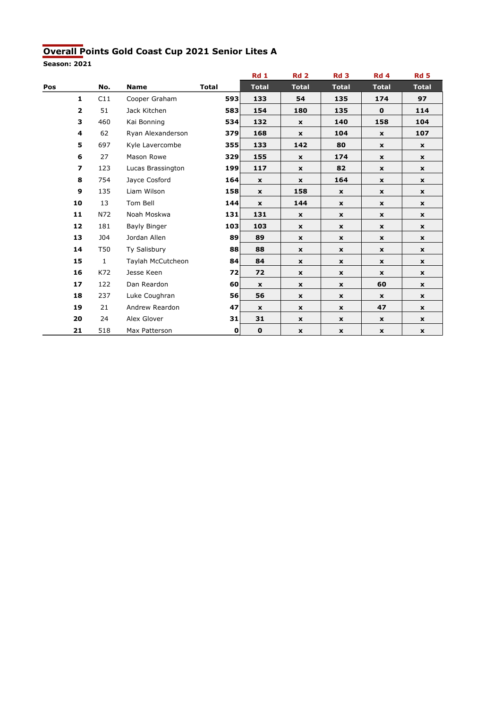#### Overall Points Gold Coast Cup 2021 Senior Lites A

|     |                          |              |                     |              | <b>Rd 1</b>  | <b>Rd 2</b>               | Rd <sub>3</sub>           | Rd 4               | <b>Rd 5</b>  |
|-----|--------------------------|--------------|---------------------|--------------|--------------|---------------------------|---------------------------|--------------------|--------------|
| Pos |                          | No.          | <b>Name</b>         | <b>Total</b> | <b>Total</b> | <b>Total</b>              | <b>Total</b>              | <b>Total</b>       | <b>Total</b> |
|     | $\mathbf{1}$             | C11          | Cooper Graham       | 593          | 133          | 54                        | 135                       | 174                | 97           |
|     | $\mathbf{2}$             | 51           | Jack Kitchen        | 583          | 154          | 180                       | 135                       | $\mathbf 0$        | 114          |
|     | 3                        | 460          | Kai Bonning         | 534          | 132          | $\mathbf x$               | 140                       | 158                | 104          |
|     | 4                        | 62           | Ryan Alexanderson   | 379          | 168          | $\mathbf x$               | 104                       | $\mathbf x$        | 107          |
|     | 5                        | 697          | Kyle Lavercombe     | 355          | 133          | 142                       | 80                        | $\mathbf x$        | $\mathbf{x}$ |
|     | 6                        | 27           | Mason Rowe          | 329          | 155          | $\mathbf{x}$              | 174                       | $\mathbf{x}$       | $\mathbf{x}$ |
|     | $\overline{\phantom{a}}$ | 123          | Lucas Brassington   | 199          | 117          | $\mathbf{x}$              | 82                        | $\mathbf{x}$       | $\mathbf{x}$ |
|     | 8                        | 754          | Jayce Cosford       | 164          | $\mathbf{x}$ | $\pmb{\mathsf{x}}$        | 164                       | $\mathbf{x}$       | $\mathbf{x}$ |
|     | 9                        | 135          | Liam Wilson         | 158          | $\mathbf{x}$ | 158                       | $\mathbf x$               | $\mathbf{x}$       | $\mathbf{x}$ |
|     | 10                       | 13           | Tom Bell            | 144          | $\mathbf x$  | 144                       | $\mathbf{x}$              | $\mathbf x$        | $\mathbf{x}$ |
|     | 11                       | N72          | Noah Moskwa         | 131          | 131          | $\mathbf x$               | $\mathbf x$               | $\mathbf x$        | $\mathbf{x}$ |
|     | 12                       | 181          | <b>Bayly Binger</b> | 103          | 103          | $\mathbf x$               | $\mathbf x$               | $\mathbf x$        | $\mathbf{x}$ |
|     | 13                       | <b>J04</b>   | Jordan Allen        | 89           | 89           | $\mathbf x$               | $\mathbf x$               | $\mathbf x$        | $\mathbf{x}$ |
|     | 14                       | T50          | Ty Salisbury        | 88           | 88           | $\mathbf{x}$              | $\mathbf{x}$              | $\pmb{\mathsf{x}}$ | $\mathbf{x}$ |
|     | 15                       | $\mathbf{1}$ | Taylah McCutcheon   | 84           | 84           | $\mathbf x$               | $\mathbf{x}$              | $\mathbf x$        | $\mathbf{x}$ |
|     | 16                       | K72          | Jesse Keen          | 72           | 72           | $\mathbf{x}$              | $\pmb{\mathsf{x}}$        | $\pmb{\mathsf{x}}$ | $\mathbf{x}$ |
|     | 17                       | 122          | Dan Reardon         | 60           | $\mathbf x$  | $\mathbf{x}$              | $\mathbf{x}$              | 60                 | $\mathbf{x}$ |
|     | 18                       | 237          | Luke Coughran       | 56           | 56           | $\mathbf{x}$              | $\mathbf{x}$              | $\mathbf{x}$       | $\mathbf{x}$ |
|     | 19                       | 21           | Andrew Reardon      | 47           | $\mathbf x$  | $\boldsymbol{\mathsf{x}}$ | $\boldsymbol{\mathsf{x}}$ | 47                 | $\mathbf{x}$ |
|     | 20                       | 24           | Alex Glover         | 31           | 31           | $\pmb{\mathsf{x}}$        | $\pmb{\mathsf{x}}$        | $\mathbf{x}$       | $\mathbf{x}$ |
|     | 21                       | 518          | Max Patterson       | 0            | $\mathbf 0$  | x                         | $\mathbf{x}$              | $\mathbf{x}$       | $\mathbf{x}$ |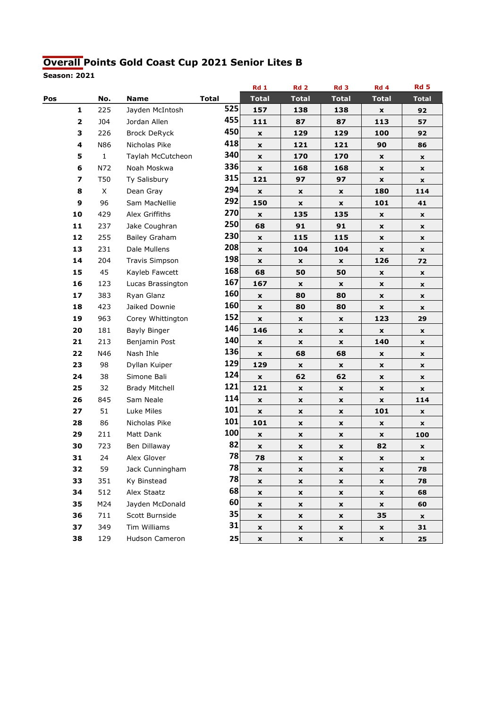## Overall Points Gold Coast Cup 2021 Senior Lites B

|     |    |              |                       |              |                 | Rd1                | <b>Rd 2</b>        | Rd <sub>3</sub>    | Rd 4               | <b>Rd 5</b>        |
|-----|----|--------------|-----------------------|--------------|-----------------|--------------------|--------------------|--------------------|--------------------|--------------------|
| Pos |    | No.          | <b>Name</b>           | <b>Total</b> |                 | <b>Total</b>       | <b>Total</b>       | <b>Total</b>       | <b>Total</b>       | <b>Total</b>       |
|     | 1  | 225          | Jayden McIntosh       |              | 525             | 157                | 138                | 138                | x                  | 92                 |
|     | 2  | <b>J04</b>   | Jordan Allen          |              | 455             | 111                | 87                 | 87                 | 113                | 57                 |
|     | 3  | 226          | <b>Brock DeRyck</b>   |              | 450             | $\pmb{\mathsf{x}}$ | 129                | 129                | 100                | 92                 |
|     | 4  | N86          | Nicholas Pike         |              | 418             | $\pmb{\mathsf{x}}$ | 121                | 121                | 90                 | 86                 |
|     | 5  | $\mathbf{1}$ | Taylah McCutcheon     |              | 340             | x                  | 170                | 170                | x                  | x                  |
|     | 6  | N72          | Noah Moskwa           |              | 336             | $\pmb{\mathsf{x}}$ | 168                | 168                | X                  | X                  |
|     | 7  | T50          | Ty Salisbury          |              | 315             | 121                | 97                 | 97                 | X                  | x                  |
|     | 8  | X            | Dean Gray             |              | 294             | $\pmb{\mathsf{x}}$ | x                  | X                  | 180                | 114                |
|     | 9  | 96           | Sam MacNellie         |              | 292             | 150                | $\pmb{\mathsf{x}}$ | $\pmb{\mathsf{x}}$ | 101                | 41                 |
|     | 10 | 429          | Alex Griffiths        |              | 270             | $\pmb{\times}$     | 135                | 135                | x                  | x                  |
|     | 11 | 237          | Jake Coughran         |              | 250             | 68                 | 91                 | 91                 | X                  | $\pmb{\mathsf{x}}$ |
|     | 12 | 255          | <b>Bailey Graham</b>  |              | 230             | $\mathbf{x}$       | 115                | 115                | x                  | X                  |
|     | 13 | 231          | Dale Mullens          |              | 208             | $\pmb{\mathsf{x}}$ | 104                | 104                | X                  | X                  |
|     | 14 | 204          | <b>Travis Simpson</b> |              | 198             | $\pmb{\mathsf{x}}$ | X                  | X                  | 126                | 72                 |
|     | 15 | 45           | Kayleb Fawcett        |              | 168             | 68                 | 50                 | 50                 | X                  | x                  |
|     | 16 | 123          | Lucas Brassington     |              | 167             | 167                | $\pmb{\mathsf{x}}$ | $\pmb{\mathsf{x}}$ | X                  | X                  |
|     | 17 | 383          | Ryan Glanz            |              | 160             | $\pmb{\mathsf{x}}$ | 80                 | 80                 | X                  | x                  |
|     | 18 | 423          | Jaiked Downie         |              | 160             | $\pmb{\mathsf{x}}$ | 80                 | 80                 | x                  | x                  |
|     | 19 | 963          | Corey Whittington     |              | 152             | $\pmb{\mathsf{x}}$ | x                  | $\pmb{\mathsf{x}}$ | 123                | 29                 |
|     | 20 | 181          | Bayly Binger          |              | 146             | 146                | X                  | $\pmb{\mathsf{x}}$ | X                  | x                  |
|     | 21 | 213          | Benjamin Post         |              | 140             | $\pmb{\mathsf{x}}$ | X                  | X                  | 140                | $\pmb{\mathsf{x}}$ |
|     | 22 | N46          | Nash Ihle             |              | 136             | x                  | 68                 | 68                 | $\pmb{\mathsf{x}}$ | x                  |
|     | 23 | 98           | Dyllan Kuiper         |              | 129             | 129                | $\pmb{\mathsf{x}}$ | $\pmb{\mathsf{x}}$ | X                  | X                  |
|     | 24 | 38           | Simone Bali           |              | 124             | $\pmb{\mathsf{x}}$ | 62                 | 62                 | X                  | x                  |
|     | 25 | 32           | <b>Brady Mitchell</b> |              | 121             | 121                | x                  | $\pmb{\mathsf{x}}$ | x                  | x                  |
|     | 26 | 845          | Sam Neale             |              | 114             | $\pmb{\times}$     | X                  | X                  | $\pmb{\mathsf{x}}$ | 114                |
|     | 27 | 51           | Luke Miles            |              | 101             | $\pmb{\mathsf{x}}$ | X                  | $\pmb{\mathsf{x}}$ | 101                | x                  |
|     | 28 | 86           | Nicholas Pike         |              | 101             | 101                | $\pmb{\mathsf{x}}$ | $\pmb{\mathsf{x}}$ | x                  | $\pmb{\mathsf{x}}$ |
|     | 29 | 211          | Matt Dank             |              | 100             | $\pmb{\mathsf{x}}$ | X                  | $\pmb{\mathsf{x}}$ | $\pmb{\mathsf{x}}$ | 100                |
|     | 30 | 723          | Ben Dillaway          |              | 82              | $\pmb{\mathsf{x}}$ | X                  | X                  | 82                 | x                  |
|     | 31 | 24           | Alex Glover           |              | 78              | 78                 | x                  | x                  | x                  | x                  |
|     | 32 | 59           | Jack Cunningham       |              | 78              | x                  | X                  | X                  | X                  | 78                 |
|     | 33 | 351          | Ky Binstead           |              | 78              | $\pmb{\mathsf{x}}$ | $\pmb{\mathsf{x}}$ | $\pmb{\mathsf{x}}$ | $\pmb{\mathsf{x}}$ | 78                 |
|     | 34 | 512          | Alex Staatz           |              | 68              | $\pmb{\mathsf{x}}$ | x                  | X                  | x                  | 68                 |
|     | 35 | M24          | Jayden McDonald       |              | 60              | $\pmb{\mathsf{x}}$ | x                  | X                  | x                  | 60                 |
|     | 36 | 711          | Scott Burnside        |              | 35 <sup>2</sup> | $\pmb{\mathsf{x}}$ | x                  | $\pmb{\mathsf{x}}$ | 35                 | x                  |
|     | 37 | 349          | Tim Williams          |              | 31              | x                  | X                  | X                  | X                  | 31                 |
|     | 38 | 129          | Hudson Cameron        |              | 25              | $\pmb{\mathsf{x}}$ | $\pmb{\mathsf{x}}$ | $\pmb{\mathsf{x}}$ | $\pmb{\mathsf{x}}$ | 25                 |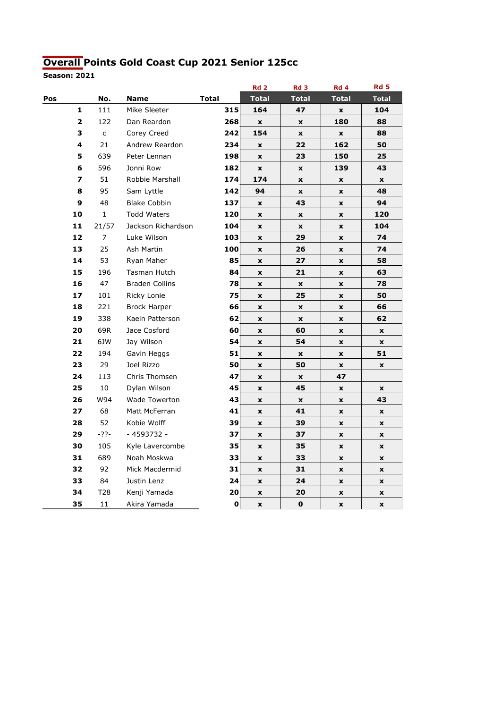## Overall Points Gold Coast Cup 2021 Senior 125cc

|     |                |              |                       |              |     | <b>Rd 2</b>        | Rd <sub>3</sub>    | Rd 4               | <b>Rd 5</b>        |
|-----|----------------|--------------|-----------------------|--------------|-----|--------------------|--------------------|--------------------|--------------------|
| Pos |                | No.          | <b>Name</b>           | <b>Total</b> |     | <b>Total</b>       | <b>Total</b>       | <b>Total</b>       | <b>Total</b>       |
|     | 1              | 111          | Mike Sleeter          |              | 315 | 164                | 47                 | $\pmb{\mathsf{x}}$ | 104                |
|     | $\overline{2}$ | 122          | Dan Reardon           |              | 268 | $\pmb{\mathsf{x}}$ | x                  | 180                | 88                 |
|     | 3              | $\mathsf{C}$ | Corey Creed           |              | 242 | 154                | $\pmb{\mathsf{x}}$ | $\pmb{\mathsf{x}}$ | 88                 |
|     | 4              | 21           | Andrew Reardon        |              | 234 | $\pmb{\mathsf{x}}$ | 22                 | 162                | 50                 |
|     | 5              | 639          | Peter Lennan          |              | 198 | $\pmb{\mathsf{x}}$ | 23                 | 150                | 25                 |
|     | 6              | 596          | Jonni Row             |              | 182 | $\pmb{\mathsf{x}}$ | $\pmb{\mathsf{x}}$ | 139                | 43                 |
|     | 7              | 51           | Robbie Marshall       |              | 174 | 174                | $\mathbf x$        | $\pmb{\mathsf{x}}$ | $\pmb{\mathsf{x}}$ |
|     | 8              | 95           | Sam Lyttle            |              | 142 | 94                 | $\pmb{\mathsf{x}}$ | $\pmb{\mathsf{x}}$ | 48                 |
|     | 9              | 48           | <b>Blake Cobbin</b>   |              | 137 | $\pmb{\mathsf{x}}$ | 43                 | $\pmb{\mathsf{x}}$ | 94                 |
|     | 10             | $\mathbf{1}$ | <b>Todd Waters</b>    |              | 120 | $\pmb{\mathsf{x}}$ | $\pmb{\mathsf{x}}$ | $\pmb{\mathsf{x}}$ | 120                |
|     | 11             | 21/57        | Jackson Richardson    |              | 104 | $\pmb{\mathsf{x}}$ | $\pmb{\mathsf{x}}$ | $\pmb{\mathsf{x}}$ | 104                |
|     | 12             | 7            | Luke Wilson           |              | 103 | $\pmb{\mathsf{x}}$ | 29                 | $\pmb{\mathsf{x}}$ | 74                 |
|     | 13             | 25           | Ash Martin            |              | 100 | $\pmb{\mathsf{x}}$ | 26                 | $\pmb{\mathsf{x}}$ | 74                 |
|     | 14             | 53           | Ryan Maher            |              | 85  | $\pmb{\mathsf{x}}$ | 27                 | $\pmb{\mathsf{x}}$ | 58                 |
|     | 15             | 196          | Tasman Hutch          |              | 84  | $\pmb{\mathsf{x}}$ | 21                 | $\pmb{\mathsf{x}}$ | 63                 |
|     | 16             | 47           | <b>Braden Collins</b> |              | 78  | $\pmb{\mathsf{x}}$ | $\pmb{\mathsf{x}}$ | $\pmb{\mathsf{x}}$ | 78                 |
|     | 17             | 101          | Ricky Lonie           |              | 75  | $\pmb{\mathsf{x}}$ | 25                 | $\pmb{\mathsf{x}}$ | 50                 |
|     | 18             | 221          | <b>Brock Harper</b>   |              | 66  | $\pmb{\mathsf{x}}$ | x                  | $\pmb{\mathsf{x}}$ | 66                 |
|     | 19             | 338          | Kaein Patterson       |              | 62  | $\pmb{\mathsf{x}}$ | $\pmb{\mathsf{x}}$ | $\pmb{\mathsf{x}}$ | 62                 |
|     | 20             | 69R          | Jace Cosford          |              | 60  | $\pmb{\mathsf{x}}$ | 60                 | $\pmb{\mathsf{x}}$ | $\pmb{\mathsf{x}}$ |
|     | 21             | 6JW          | Jay Wilson            |              | 54  | $\pmb{\mathsf{x}}$ | 54                 | $\pmb{\mathsf{x}}$ | $\pmb{\mathsf{x}}$ |
|     | 22             | 194          | Gavin Heggs           |              | 51  | $\pmb{\mathsf{x}}$ | $\pmb{\mathsf{x}}$ | $\pmb{\mathsf{x}}$ | 51                 |
|     | 23             | 29           | Joel Rizzo            |              | 50  | $\pmb{\mathsf{x}}$ | 50                 | $\pmb{\mathsf{x}}$ | $\pmb{\mathsf{x}}$ |
|     | 24             | 113          | Chris Thomsen         |              | 47  | $\pmb{\mathsf{x}}$ | $\pmb{\mathsf{x}}$ | 47                 |                    |
|     | 25             | 10           | Dylan Wilson          |              | 45  | $\pmb{\mathsf{x}}$ | 45                 | $\pmb{\mathsf{x}}$ | $\pmb{\mathsf{x}}$ |
|     | 26             | W94          | Wade Towerton         |              | 43  | $\pmb{\mathsf{x}}$ | $\pmb{\mathsf{x}}$ | $\pmb{\mathsf{x}}$ | 43                 |
|     | 27             | 68           | Matt McFerran         |              | 41  | $\pmb{\mathsf{x}}$ | 41                 | $\pmb{\mathsf{x}}$ | $\pmb{\mathsf{x}}$ |
|     | 28             | 52           | Kobie Wolff           |              | 39  | $\pmb{\mathsf{x}}$ | 39                 | $\pmb{\mathsf{x}}$ | $\pmb{\mathsf{x}}$ |
|     | 29             | $-22-$       | - 4593732 -           |              | 37  | $\pmb{\mathsf{x}}$ | 37                 | $\pmb{\mathsf{x}}$ | $\pmb{\mathsf{x}}$ |
|     | 30             | 105          | Kyle Lavercombe       |              | 35  | $\pmb{\mathsf{x}}$ | 35                 | $\pmb{\mathsf{x}}$ | $\pmb{\mathsf{x}}$ |
|     | 31             | 689          | Noah Moskwa           |              | 33  | $\pmb{\mathsf{x}}$ | 33                 | $\pmb{\mathsf{x}}$ | $\pmb{\mathsf{x}}$ |
|     | 32             | 92           | Mick Macdermid        |              | 31  | $\pmb{\mathsf{x}}$ | 31                 | $\pmb{\mathsf{x}}$ | $\pmb{\mathsf{x}}$ |
|     | 33             | 84           | Justin Lenz           |              | 24  | $\pmb{\mathsf{x}}$ | 24                 | $\pmb{\mathsf{x}}$ | $\pmb{\mathsf{x}}$ |
|     | 34             | T28          | Kenji Yamada          |              | 20  | $\pmb{\mathsf{x}}$ | 20                 | $\pmb{\mathsf{x}}$ | $\pmb{\mathsf{x}}$ |
|     | 35             | 11           | Akira Yamada          |              | 0   | $\pmb{\mathsf{x}}$ | $\mathbf 0$        | $\pmb{\mathsf{x}}$ | $\pmb{\mathsf{x}}$ |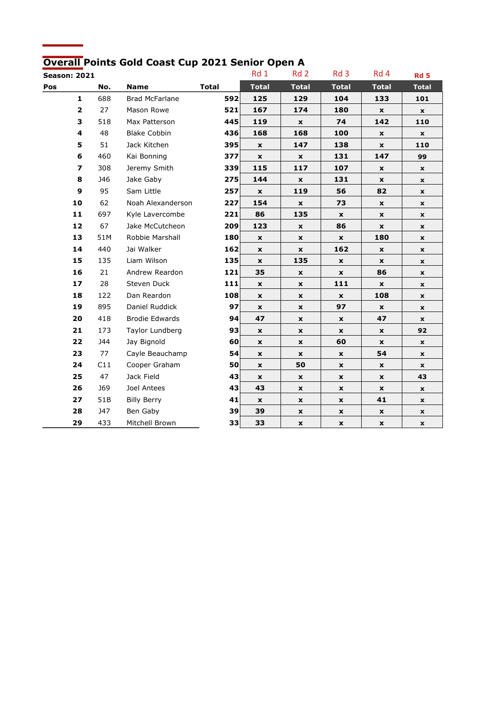## Overall Points Gold Coast Cup 2021 Senior Open A

|     | <b>Season: 2021</b>      |            |                       |              | Rd 1               | Rd <sub>2</sub>    | Rd <sub>3</sub>    | Rd 4               | Rd <sub>5</sub>    |
|-----|--------------------------|------------|-----------------------|--------------|--------------------|--------------------|--------------------|--------------------|--------------------|
| Pos |                          | No.        | <b>Name</b>           | <b>Total</b> | <b>Total</b>       | <b>Total</b>       | <b>Total</b>       | <b>Total</b>       | <b>Total</b>       |
|     | $\mathbf 1$              | 688        | Brad McFarlane        | 592          | 125                | 129                | 104                | 133                | 101                |
|     | $\overline{\mathbf{2}}$  | 27         | Mason Rowe            | 521          | 167                | 174                | 180                | $\pmb{\mathsf{x}}$ | x                  |
|     | 3                        | 518        | Max Patterson         | 445          | 119                | $\pmb{\mathsf{x}}$ | 74                 | 142                | 110                |
|     | 4                        | 48         | <b>Blake Cobbin</b>   | 436          | 168                | 168                | 100                | $\mathbf{x}$       | x                  |
|     | 5                        | 51         | Jack Kitchen          | 395          | $\mathbf x$        | 147                | 138                | $\mathbf x$        | 110                |
|     | 6                        | 460        | Kai Bonning           | 377          | $\pmb{\times}$     | $\pmb{\mathsf{x}}$ | 131                | 147                | 99                 |
|     | $\overline{\phantom{a}}$ | 308        | Jeremy Smith          | 339          | 115                | 117                | 107                | $\pmb{\mathsf{x}}$ | $\pmb{\mathsf{x}}$ |
|     | 8                        | <b>J46</b> | Jake Gaby             | 275          | 144                | $\pmb{\mathsf{x}}$ | 131                | $\mathbf{x}$       | x                  |
|     | 9                        | 95         | Sam Little            | 257          | x                  | 119                | 56                 | 82                 | x                  |
|     | 10                       | 62         | Noah Alexanderson     | 227          | 154                | $\pmb{\times}$     | 73                 | $\mathbf x$        | x                  |
|     | 11                       | 697        | Kyle Lavercombe       | 221          | 86                 | 135                | $\pmb{\mathsf{x}}$ | $\pmb{\mathsf{x}}$ | x                  |
|     | 12                       | 67         | Jake McCutcheon       | 209          | 123                | $\pmb{\mathsf{x}}$ | 86                 | $\mathbf{x}$       | x                  |
|     | 13                       | 51M        | Robbie Marshall       | 180          | $\pmb{\times}$     | X                  | $\mathbf x$        | 180                | x                  |
|     | 14                       | 440        | Jai Walker            | 162          | $\mathbf x$        | X                  | 162                | x                  | x                  |
|     | 15                       | 135        | Liam Wilson           | 135          | $\pmb{\mathsf{x}}$ | 135                | $\pmb{\mathsf{x}}$ | $\mathbf x$        | x                  |
|     | 16                       | 21         | Andrew Reardon        | 121          | 35                 | $\pmb{\mathsf{x}}$ | $\pmb{\mathsf{x}}$ | 86                 | x                  |
|     | 17                       | 28         | Steven Duck           | 111          | $\pmb{\mathsf{x}}$ | X                  | 111                | $\pmb{\mathsf{x}}$ | x                  |
|     | 18                       | 122        | Dan Reardon           | 108          | $\pmb{\times}$     | $\pmb{\times}$     | $\pmb{\chi}$       | 108                | x                  |
|     | 19                       | 895        | Daniel Ruddick        | 97           | $\pmb{\mathsf{x}}$ | $\pmb{\mathsf{x}}$ | 97                 | $\pmb{\times}$     | x                  |
|     | 20                       | 418        | <b>Brodie Edwards</b> | 94           | 47                 | X                  | x                  | 47                 | x                  |
|     | 21                       | 173        | Taylor Lundberg       | 93           | x                  | $\pmb{\mathsf{x}}$ | X                  | $\pmb{\mathsf{x}}$ | 92                 |
|     | 22                       | <b>J44</b> | Jay Bignold           | 60           | $\pmb{\mathsf{x}}$ | X                  | 60                 | $\pmb{\mathsf{x}}$ | X                  |
|     | 23                       | 77         | Cayle Beauchamp       | 54           | $\mathbf x$        | $\mathbf x$        | $\mathbf x$        | 54                 | x                  |
|     | 24                       | C11        | Cooper Graham         | 50           | $\mathbf x$        | 50                 | $\mathbf x$        | X                  | x                  |
|     | 25                       | 47         | Jack Field            | 43           | X                  | x                  | x                  | x                  | 43                 |
|     | 26                       | <b>J69</b> | Joel Antees           | 43           | 43                 | $\pmb{\times}$     | $\pmb{\mathsf{x}}$ | $\pmb{\mathsf{x}}$ | $\mathbf x$        |
|     | 27                       | 51B        | <b>Billy Berry</b>    | 41           | $\pmb{\mathsf{x}}$ | $\pmb{\mathsf{x}}$ | $\pmb{\mathsf{x}}$ | 41                 | x                  |
|     | 28                       | <b>J47</b> | Ben Gaby              | 39           | 39                 | x                  | x                  | X                  | $\mathbf{x}$       |
|     | 29                       | 433        | Mitchell Brown        | 33           | 33                 | X                  | X                  | x                  | x                  |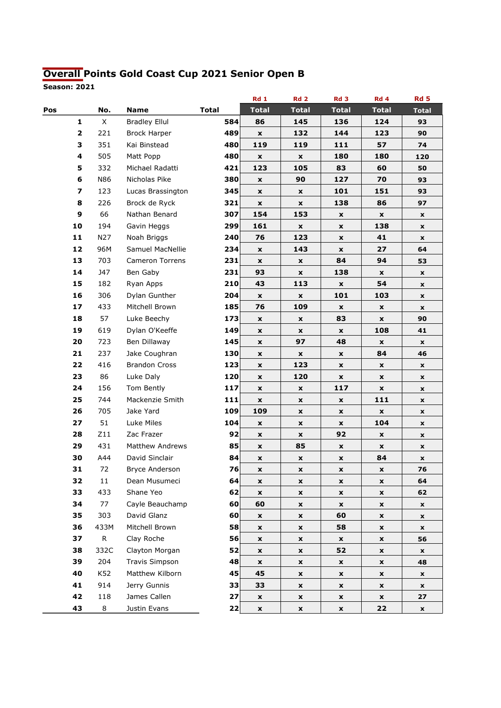# Overall Points Gold Coast Cup 2021 Senior Open B

|     |                     |                        |              | <b>Rd 1</b>               | <b>Rd 2</b>        | Rd <sub>3</sub>    | Rd 4               | <b>Rd 5</b>        |
|-----|---------------------|------------------------|--------------|---------------------------|--------------------|--------------------|--------------------|--------------------|
| Pos | No.                 | <b>Name</b>            | <b>Total</b> | <b>Total</b>              | <b>Total</b>       | <b>Total</b>       | <b>Total</b>       | <b>Total</b>       |
|     | X<br>1              | <b>Bradley Ellul</b>   | 584          | 86                        | 145                | 136                | 124                | 93                 |
|     | $\mathbf{2}$<br>221 | <b>Brock Harper</b>    | 489          | $\mathbf{x}$              | 132                | 144                | 123                | 90                 |
|     | 3<br>351            | Kai Binstead           | 480          | 119                       | 119                | 111                | 57                 | 74                 |
|     | 505<br>4            | Matt Popp              | 480          | $\pmb{\mathsf{x}}$        | $\pmb{\mathsf{x}}$ | 180                | 180                | 120                |
|     | 332<br>5            | Michael Radatti        | 421          | 123                       | 105                | 83                 | 60                 | 50                 |
|     | 6<br>N86            | Nicholas Pike          | 380          | $\pmb{\mathsf{x}}$        | 90                 | 127                | 70                 | 93                 |
|     | 7<br>123            | Lucas Brassington      | 345          | $\pmb{\mathsf{x}}$        | x                  | 101                | 151                | 93                 |
|     | 226<br>8            | Brock de Ryck          | 321          | x                         | x                  | 138                | 86                 | 97                 |
|     | 9<br>66             | Nathan Benard          | 307          | 154                       | 153                | $\pmb{\mathsf{x}}$ | X                  | $\pmb{\mathsf{x}}$ |
|     | 194<br>10           | Gavin Heggs            | 299          | 161                       | x                  | X                  | 138                | X                  |
|     | N27<br>11           | Noah Briggs            | 240          | 76                        | 123                | $\pmb{\mathsf{x}}$ | 41                 | X                  |
|     | 12<br>96M           | Samuel MacNellie       | 234          | $\mathbf{x}$              | 143                | $\mathbf{x}$       | 27                 | 64                 |
|     | 703<br>13           | <b>Cameron Torrens</b> | 231          | $\pmb{\mathsf{x}}$        | x                  | 84                 | 94                 | 53                 |
|     | 14<br>J47           | Ben Gaby               | 231          | 93                        | x                  | 138                | X                  | X                  |
|     | 15<br>182           | Ryan Apps              | 210          | 43                        | 113                | X                  | 54                 | x                  |
|     | 306<br>16           | Dylan Gunther          | 204          | $\boldsymbol{\mathsf{x}}$ | $\pmb{\mathsf{x}}$ | 101                | 103                | X                  |
|     | 17<br>433           | Mitchell Brown         | 185          | 76                        | 109                | $\pmb{\mathsf{x}}$ | X                  | X                  |
|     | 57<br>18            | Luke Beechy            | 173          | $\pmb{\mathsf{x}}$        | x                  | 83                 | x                  | 90                 |
|     | 619<br>19           | Dylan O'Keeffe         | 149          | $\pmb{\mathsf{x}}$        | $\pmb{\mathsf{x}}$ | $\pmb{\mathsf{x}}$ | 108                | 41                 |
|     | 20<br>723           | Ben Dillaway           | 145          | X                         | 97                 | 48                 | x                  | X                  |
|     | 237<br>21           | Jake Coughran          | 130          | $\pmb{\mathsf{x}}$        | x                  | $\pmb{\mathsf{x}}$ | 84                 | 46                 |
|     | 22<br>416           | <b>Brandon Cross</b>   | 123          | $\mathbf{x}$              | 123                | $\mathbf{x}$       | x                  | x                  |
|     | 23<br>86            | Luke Daly              | 120          | X                         | 120                | X                  | $\pmb{\mathsf{x}}$ | X                  |
|     | 24<br>156           | Tom Bently             | 117          | X                         | x                  | 117                | $\pmb{\mathsf{x}}$ | X                  |
|     | 25<br>744           | Mackenzie Smith        | 111          | $\pmb{\mathsf{x}}$        | x                  | X                  | 111                | x                  |
|     | 26<br>705           | Jake Yard              | 109          | 109                       | X                  | $\pmb{\mathsf{x}}$ | $\pmb{\mathsf{x}}$ | X                  |
|     | 27<br>51            | Luke Miles             | 104          | $\mathbf x$               | x                  | X                  | 104                | X                  |
|     | Z11<br>28           | Zac Frazer             | 92           | X                         | x                  | 92                 | x                  | X                  |
|     | 431<br>29           | <b>Matthew Andrews</b> | 85           | $\mathbf x$               | 85                 | X                  | X                  | x                  |
|     | 30<br>A44           | David Sinclair         | 84           | X                         | x                  | X                  | 84                 | X                  |
|     | 31<br>72            | Bryce Anderson         | 76           | $\pmb{\mathsf{x}}$        | X                  | X                  | x                  | 76                 |
|     | 32<br>11            | Dean Musumeci          | 64           | $\pmb{\mathsf{x}}$        | x                  | X                  | x                  | 64                 |
|     | 33<br>433           | Shane Yeo              | 62           | $\pmb{\mathsf{x}}$        | x                  | X                  | x                  | 62                 |
|     | 34<br>77            | Cayle Beauchamp        | 60           | 60                        | x                  | $\pmb{\mathsf{x}}$ | $\pmb{\mathsf{x}}$ | X                  |
|     | 303<br>35           | David Glanz            | 60           | x                         | x                  | 60                 | X                  | x                  |
|     | 36<br>433M          | Mitchell Brown         | 58           | X                         | x                  | 58                 | x                  | $\mathbf{x}$       |
|     | ${\sf R}$<br>37     | Clay Roche             | 56           | X                         | x                  | X                  | x                  | 56                 |
|     | 332C<br>38          | Clayton Morgan         | 52           | $\pmb{\mathsf{x}}$        | x                  | 52                 | x                  | x                  |
|     | 204<br>39           | Travis Simpson         | 48           | $\mathbf{x}$              | x                  | $\pmb{\mathsf{x}}$ | X                  | 48                 |
|     | K52<br>40           | Matthew Kilborn        | 45           | 45                        | x                  | X                  | x                  | x                  |
|     | 41<br>914           | Jerry Gunnis           | 33           | 33                        | x                  | $\pmb{\mathsf{x}}$ | x                  | X                  |
|     | 42<br>118           | James Callen           | 27           | $\mathbf x$               | x                  | $\pmb{\mathsf{x}}$ | x                  | 27                 |
|     | 43<br>8             | Justin Evans           | 22           | $\pmb{\mathsf{x}}$        | x                  | X                  | 22                 | X                  |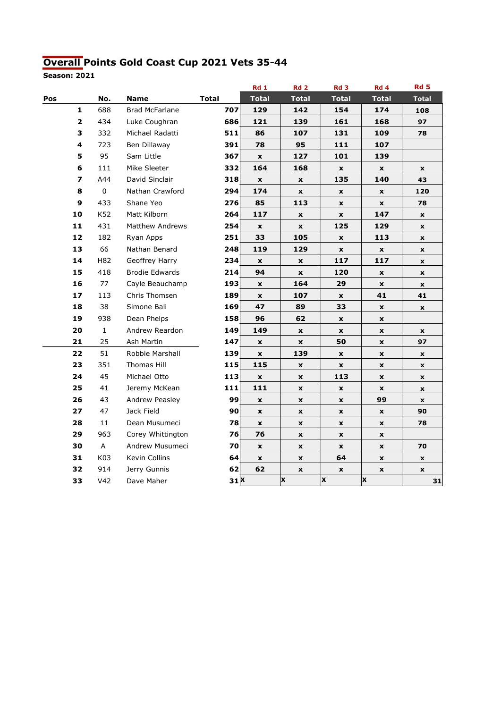## Overall Points Gold Coast Cup 2021 Vets 35-44

|     |                         |                 |                        |              | <b>Rd 1</b>        | Rd <sub>2</sub>    | Rd <sub>3</sub>    | Rd 4         | <b>Rd 5</b>        |
|-----|-------------------------|-----------------|------------------------|--------------|--------------------|--------------------|--------------------|--------------|--------------------|
| Pos |                         | No.             | <b>Name</b>            | <b>Total</b> | <b>Total</b>       | <b>Total</b>       | <b>Total</b>       | Total        | <b>Total</b>       |
|     | $\mathbf{1}$            | 688             | Brad McFarlane         | 707          | 129                | 142                | 154                | 174          | 108                |
|     | $\overline{\mathbf{2}}$ | 434             | Luke Coughran          | 686          | 121                | 139                | 161                | 168          | 97                 |
|     | 3                       | 332             | Michael Radatti        | 511          | 86                 | 107                | 131                | 109          | 78                 |
|     | 4                       | 723             | Ben Dillaway           | 391          | 78                 | 95                 | 111                | 107          |                    |
|     | 5                       | 95              | Sam Little             | 367          | $\pmb{\mathsf{x}}$ | 127                | 101                | 139          |                    |
|     | 6                       | 111             | Mike Sleeter           | 332          | 164                | 168                | $\pmb{\mathsf{x}}$ | X            | $\pmb{\mathsf{x}}$ |
|     | 7                       | A44             | David Sinclair         | 318          | $\pmb{\mathsf{x}}$ | $\pmb{\mathsf{x}}$ | 135                | 140          | 43                 |
|     | 8                       | $\mathsf 0$     | Nathan Crawford        | 294          | 174                | $\pmb{\mathsf{x}}$ | $\pmb{\mathsf{x}}$ | x            | 120                |
|     | 9                       | 433             | Shane Yeo              | 276          | 85                 | 113                | $\pmb{\mathsf{x}}$ | x            | 78                 |
|     | 10                      | K52             | Matt Kilborn           | 264          | 117                | $\pmb{\mathsf{x}}$ | $\pmb{\mathsf{x}}$ | 147          | $\mathbf{x}$       |
|     | 11                      | 431             | <b>Matthew Andrews</b> | 254          | $\pmb{\mathsf{x}}$ | $\pmb{\times}$     | 125                | 129          | $\pmb{\mathsf{x}}$ |
|     | 12                      | 182             | Ryan Apps              | 251          | 33                 | 105                | $\pmb{\mathsf{x}}$ | 113          | $\pmb{\mathsf{x}}$ |
|     | 13                      | 66              | Nathan Benard          | 248          | 119                | 129                | $\pmb{\mathsf{x}}$ | $\mathbf x$  | $\pmb{\mathsf{x}}$ |
|     | 14                      | H82             | Geoffrey Harry         | 234          | $\mathbf x$        | $\mathbf x$        | 117                | 117          | $\mathbf{x}$       |
|     | 15                      | 418             | <b>Brodie Edwards</b>  | 214          | 94                 | $\pmb{\mathsf{x}}$ | 120                | X            | $\pmb{\mathsf{x}}$ |
|     | 16                      | 77              | Cayle Beauchamp        | 193          | $\pmb{\times}$     | 164                | 29                 | X            | $\pmb{\mathsf{x}}$ |
|     | 17                      | 113             | Chris Thomsen          | 189          | X                  | 107                | $\pmb{\mathsf{x}}$ | 41           | 41                 |
|     | 18                      | 38              | Simone Bali            | 169          | 47                 | 89                 | 33                 | X            | $\pmb{\mathsf{x}}$ |
|     | 19                      | 938             | Dean Phelps            | 158          | 96                 | 62                 | $\pmb{\mathsf{x}}$ | $\mathbf x$  |                    |
|     | 20                      | $\mathbf 1$     | Andrew Reardon         | 149          | 149                | $\pmb{\times}$     | $\pmb{\mathsf{x}}$ | X            | $\mathbf{x}$       |
|     | 21                      | 25              | Ash Martin             | 147          | $\pmb{\mathsf{x}}$ | $\pmb{\mathsf{x}}$ | 50                 | X            | 97                 |
|     | 22                      | 51              | Robbie Marshall        | 139          | $\pmb{\times}$     | 139                | $\pmb{\mathsf{x}}$ | $\mathbf{x}$ | $\pmb{\mathsf{x}}$ |
|     | 23                      | 351             | Thomas Hill            | 115          | 115                | $\pmb{\times}$     | $\pmb{\mathsf{x}}$ | X            | $\mathbf x$        |
|     | 24                      | 45              | Michael Otto           | 113          | $\pmb{\mathsf{x}}$ | $\pmb{\mathsf{x}}$ | 113                | X            | $\pmb{\mathsf{x}}$ |
|     | 25                      | 41              | Jeremy McKean          | 111          | 111                | $\pmb{\mathsf{x}}$ | $\pmb{\mathsf{x}}$ | X            | $\pmb{\mathsf{x}}$ |
|     | 26                      | 43              | Andrew Peasley         | 99           | $\pmb{\mathsf{x}}$ | X                  | X                  | 99           | $\pmb{\mathsf{x}}$ |
|     | 27                      | 47              | Jack Field             | 90           | $\mathbf{x}$       | $\pmb{\mathsf{x}}$ | X                  | X            | 90                 |
|     | 28                      | 11              | Dean Musumeci          | 78           | $\mathbf{x}$       | $\mathbf{x}$       | X                  | $\mathbf x$  | 78                 |
|     | 29                      | 963             | Corey Whittington      | 76           | 76                 | $\mathbf x$        | $\mathbf x$        | $\mathbf x$  |                    |
|     | 30                      | Α               | Andrew Musumeci        | 70           | $\pmb{\mathsf{x}}$ | X                  | $\pmb{\mathsf{x}}$ | X            | 70                 |
|     | 31                      | K03             | Kevin Collins          | 64           | $\pmb{\times}$     | $\mathbf{x}$       | 64                 | X            | $\pmb{\mathsf{x}}$ |
|     | 32                      | 914             | Jerry Gunnis           | 62           | 62                 | $\pmb{\mathsf{x}}$ | $\pmb{\mathsf{x}}$ | X            | $\pmb{\mathsf{x}}$ |
|     | 33                      | V <sub>42</sub> | Dave Maher             | 31X          |                    | ΙX                 | X                  | x            | 31                 |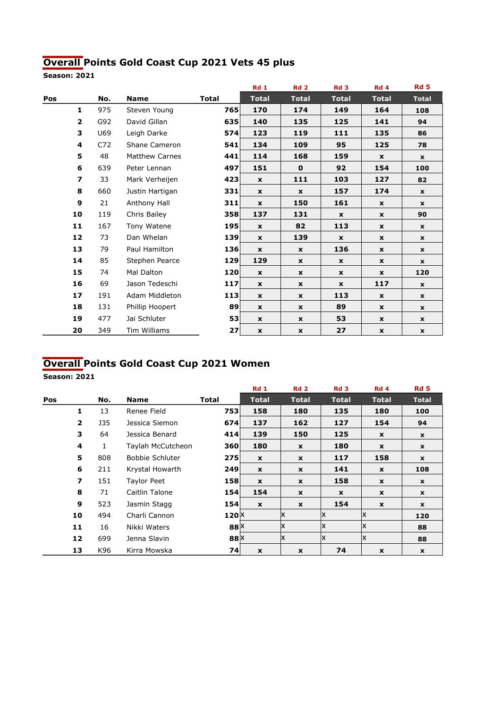# Overall Points Gold Coast Cup 2021 Vets 45 plus

Season: 2021

|     |                         |     |                       |              | <b>Rd 1</b>  | <b>Rd 2</b>        | Rd <sub>3</sub> | <b>Rd 4</b>  | <b>Rd 5</b>  |
|-----|-------------------------|-----|-----------------------|--------------|--------------|--------------------|-----------------|--------------|--------------|
| Pos |                         | No. | <b>Name</b>           | <b>Total</b> | <b>Total</b> | <b>Total</b>       | <b>Total</b>    | <b>Total</b> | <b>Total</b> |
|     | $\mathbf{1}$            | 975 | Steven Young          | 765          | 170          | 174                | 149             | 164          | 108          |
|     | $\overline{\mathbf{2}}$ | G92 | David Gillan          | 635          | 140          | 135                | 125             | 141          | 94           |
|     | 3                       | U69 | Leigh Darke           | 574          | 123          | 119                | 111             | 135          | 86           |
|     | $\overline{\mathbf{4}}$ | C72 | Shane Cameron         | 541          | 134          | 109                | 95              | 125          | 78           |
|     | 5                       | 48  | <b>Matthew Carnes</b> | 441          | 114          | 168                | 159             | $\mathbf{x}$ | $\mathbf{x}$ |
|     | 6                       | 639 | Peter Lennan          | 497          | 151          | $\mathbf 0$        | 92              | 154          | 100          |
|     | 7                       | 33  | Mark Verheijen        | 423          | $\mathbf{x}$ | 111                | 103             | 127          | 82           |
|     | 8                       | 660 | Justin Hartigan       | 331          | $\mathbf x$  | $\mathbf x$        | 157             | 174          | $\mathbf{x}$ |
|     | 9                       | 21  | Anthony Hall          | 311          | $\mathbf{x}$ | 150                | 161             | $\mathbf{x}$ | $\mathbf x$  |
|     | 10                      | 119 | Chris Bailey          | 358          | 137          | 131                | $\mathbf{x}$    | x            | 90           |
|     | 11                      | 167 | Tony Watene           | 195          | $\mathbf{x}$ | 82                 | 113             | $\mathbf{x}$ | $\mathbf{x}$ |
|     | 12                      | 73  | Dan Whelan            | 139          | $\mathbf{x}$ | 139                | $\mathbf{x}$    | x            | $\mathbf{x}$ |
|     | 13                      | 79  | Paul Hamilton         | 136          | $\mathbf{x}$ | $\mathbf x$        | 136             | $\mathbf{x}$ | $\mathbf{x}$ |
|     | 14                      | 85  | Stephen Pearce        | 129          | 129          | $\mathbf x$        | $\mathbf x$     | x            | $\mathbf{x}$ |
|     | 15                      | 74  | Mal Dalton            | 120          | $\mathbf{x}$ | $\mathbf{x}$       | $\mathbf x$     | $\mathbf{x}$ | 120          |
|     | 16                      | 69  | Jason Tedeschi        | 117          | $\mathbf{x}$ | $\mathbf x$        | $\mathbf x$     | 117          | $\mathbf{x}$ |
|     | 17                      | 191 | Adam Middleton        | 113          | $\mathbf{x}$ | $\mathbf x$        | 113             | $\mathbf{x}$ | $\mathbf{x}$ |
|     | 18                      | 131 | Phillip Hoopert       | 89           | $\mathbf x$  | $\mathbf x$        | 89              | x            | $\mathbf{x}$ |
|     | 19                      | 477 | Jai Schluter          | 53           | $\mathbf x$  | $\mathbf x$        | 53              | x            | $\mathbf{x}$ |
|     | 20                      | 349 | Tim Williams          | 27           | $\mathbf{x}$ | $\pmb{\mathsf{x}}$ | 27              | x            | $\mathbf{x}$ |

## Overall Points Gold Coast Cup 2021 Women

|     |                         |     |                        |                  | <b>Rd 1</b>  | <b>Rd 2</b>    | Rd <sub>3</sub> | Rd 4               | Rd <sub>5</sub> |
|-----|-------------------------|-----|------------------------|------------------|--------------|----------------|-----------------|--------------------|-----------------|
| Pos |                         | No. | <b>Name</b>            | <b>Total</b>     | <b>Total</b> | <b>Total</b>   | <b>Total</b>    | <b>Total</b>       | <b>Total</b>    |
|     | 1                       | 13  | Renee Field            | 753              | 158          | 180            | 135             | 180                | 100             |
|     | $\overline{2}$          | J35 | Jessica Siemon         | 674              | 137          | 162            | 127             | 154                | 94              |
|     | 3                       | 64  | Jessica Benard         | 414              | 139          | 150            | 125             | $\mathbf x$        | $\mathbf{x}$    |
|     | 4                       | 1   | Taylah McCutcheon      | 360              | 180          | $\mathbf{x}$   | 180             | $\pmb{\mathsf{x}}$ | $\mathbf{x}$    |
|     | 5                       | 808 | <b>Bobbie Schluter</b> | 275              | $\mathbf{x}$ | $\mathbf{x}$   | 117             | 158                | $\mathbf{x}$    |
|     | 6                       | 211 | Krystal Howarth        | 249              | $\mathbf{x}$ | $\mathbf{x}$   | 141             | $\boldsymbol{x}$   | 108             |
|     | $\overline{\mathbf{z}}$ | 151 | Taylor Peet            | 158              | $\mathbf{x}$ | $\mathbf{x}$   | 158             | $\mathbf x$        | $\mathbf{x}$    |
|     | 8                       | 71  | Caitlin Talone         | 154              | 154          | X              | $\mathbf x$     | X                  | $\mathbf{x}$    |
|     | 9                       | 523 | Jasmin Stagg           | 154              | $\mathbf{x}$ | $\mathbf{x}$   | 154             | $\mathbf x$        | $\mathbf{x}$    |
|     | 10                      | 494 | Charli Cannon          | $120^{\text{X}}$ |              | Ιx             | ΙX              | Ιx                 | 120             |
|     | 11                      | 16  | Nikki Waters           | 88 X             |              | Ιx             | Ιx              | x                  | 88              |
|     | 12                      | 699 | Jenna Slavin           | 88 X             |              | x              | ΙX              | ΙX                 | 88              |
|     | 13                      | K96 | Kirra Mowska           | 74               | $\mathbf{x}$ | $\pmb{\times}$ | 74              | $\boldsymbol{x}$   | $\mathbf{x}$    |